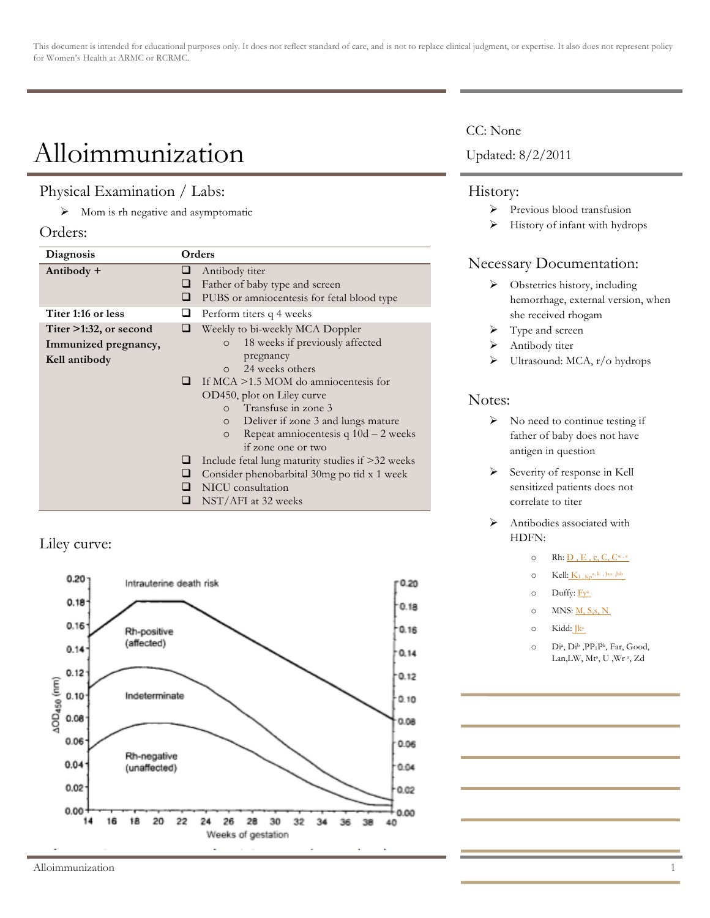This document is intended for educational purposes only. It does not reflect standard of care, and is not to replace clinical judgment, or expertise. It also does not represent policy for Women's Health at ARMC or RCRMC.

# Alloimmunization

### Physical Examination / Labs:

 $\triangleright$  Mom is rh negative and asymptomatic

#### Orders:

| Diagnosis                                                          | Orders                                                                                                                                                                                                                                                                                                                                                                                                                                                                                                                |
|--------------------------------------------------------------------|-----------------------------------------------------------------------------------------------------------------------------------------------------------------------------------------------------------------------------------------------------------------------------------------------------------------------------------------------------------------------------------------------------------------------------------------------------------------------------------------------------------------------|
| Antibody +                                                         | Antibody titer<br>Father of baby type and screen<br>⊔<br>PUBS or amniocentesis for fetal blood type                                                                                                                                                                                                                                                                                                                                                                                                                   |
| Titer 1:16 or less                                                 | Perform titers q 4 weeks                                                                                                                                                                                                                                                                                                                                                                                                                                                                                              |
| Titer $>1:32$ , or second<br>Immunized pregnancy,<br>Kell antibody | Weekly to bi-weekly MCA Doppler<br>18 weeks if previously affected<br>$\circ$<br>pregnancy<br>24 weeks others<br>$\Omega$<br>If $MCA > 1.5$ MOM do amniocentesis for<br>ப<br>OD450, plot on Liley curve<br>Transfuse in zone 3<br>$\cap$<br>Deliver if zone 3 and lungs mature<br>$\circ$<br>Repeat amniocentesis $q 10d - 2$ weeks<br>$\circ$<br>if zone one or two<br>Include fetal lung maturity studies if $>32$ weeks<br>Consider phenobarbital 30mg po tid x 1 week<br>NICU consultation<br>NST/AFI at 32 weeks |

## Liley curve:



### CC: None

Updated: 8/2/2011

#### History:

- > Previous blood transfusion
- $\triangleright$  History of infant with hydrops

# Necessary Documentation:

- > Obstetrics history, including hemorrhage, external version, when she received rhogam
- > Type and screen
- $\blacktriangleright$  Antibody titer
- $\triangleright$  Ultrasound: MCA, r/o hydrops

## Notes:

- $\triangleright$  No need to continue testing if father of baby does not have antigen in question
- > Severity of response in Kell sensitized patients does not correlate to titer
- > Antibodies associated with HDFN:
	- $\circ$  Rh:  $D$ , E, c, C,  $C^{\text{w}, e}$
	- $\circ$  Kell:  $K_1$ ,  $K_2^{a, k}$ , Jsa ,Jsb
	- o Duffy: Fya
	- o MNS:  $M$ , S, s, N
	- o Kidd: Jka
	- o Dia, Dib ,PP1Pk, Far, Good, Lan,LW, Mta, U ,Wr a, Zd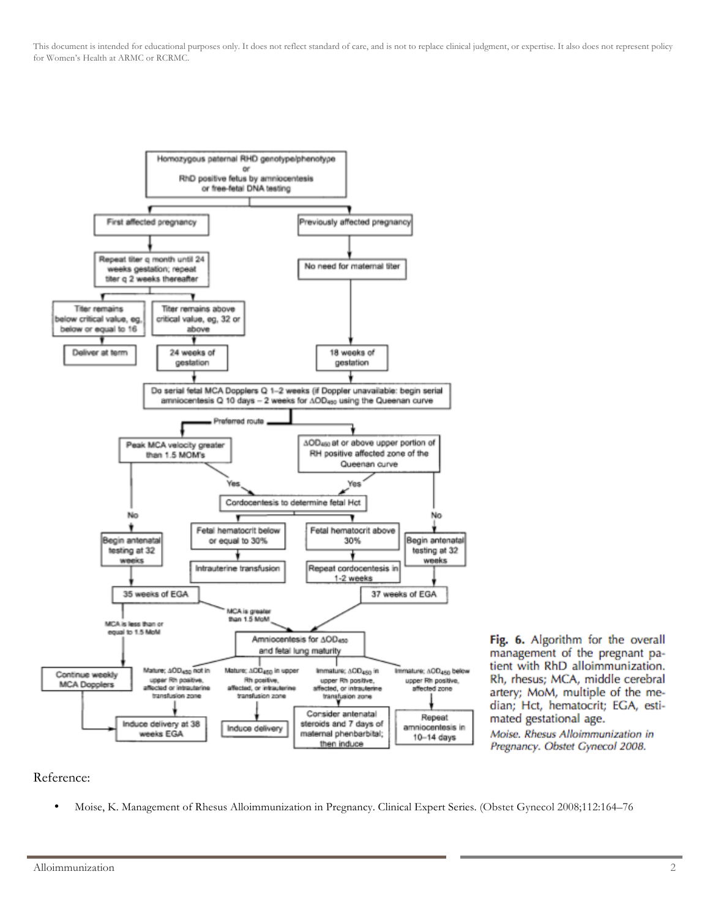This document is intended for educational purposes only. It does not reflect standard of care, and is not to replace clinical judgment, or expertise. It also does not represent policy for Women's Health at ARMC or RCRMC.



Fig. 6. Algorithm for the overall management of the pregnant patient with RhD alloimmunization. Rh, rhesus; MCA, middle cerebral artery; MoM, multiple of the median; Hct, hematocrit; EGA, estimated gestational age.

Moise. Rhesus Alloimmunization in Pregnancy. Obstet Gynecol 2008.

#### Reference:

• Moise, K. Management of Rhesus Alloimmunization in Pregnancy. Clinical Expert Series. (Obstet Gynecol 2008;112:164–76